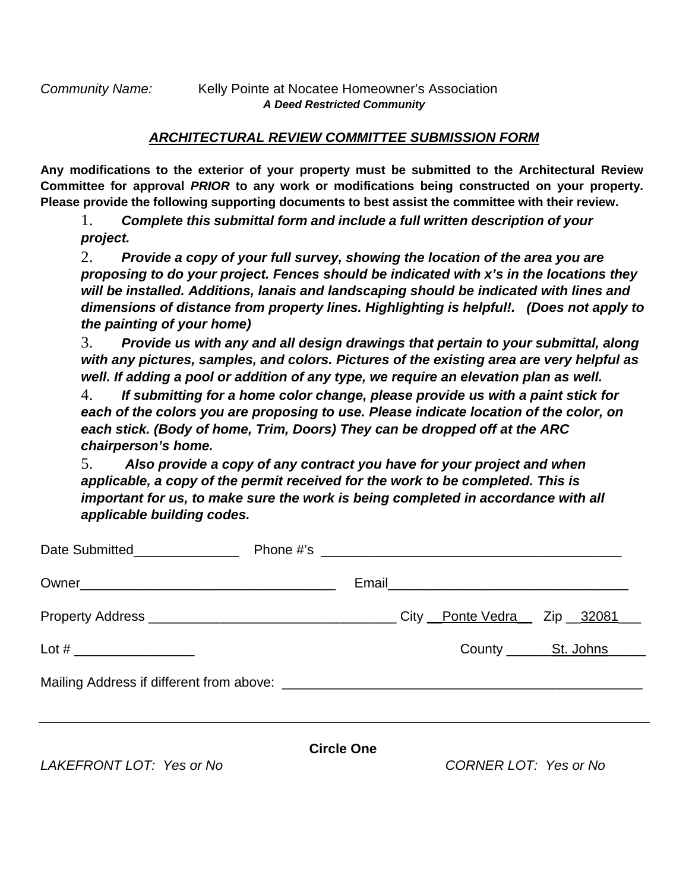## *ARCHITECTURAL REVIEW COMMITTEE SUBMISSION FORM*

**Any modifications to the exterior of your property must be submitted to the Architectural Review Committee for approval** *PRIOR* **to any work or modifications being constructed on your property. Please provide the following supporting documents to best assist the committee with their review.**

1. *Complete this submittal form and include a full written description of your project.*

2. *Provide a copy of your full survey, showing the location of the area you are proposing to do your project. Fences should be indicated with x's in the locations they will be installed. Additions, lanais and landscaping should be indicated with lines and dimensions of distance from property lines. Highlighting is helpful!. (Does not apply to the painting of your home)*

3. *Provide us with any and all design drawings that pertain to your submittal, along with any pictures, samples, and colors. Pictures of the existing area are very helpful as well. If adding a pool or addition of any type, we require an elevation plan as well.* 

4. *If submitting for a home color change, please provide us with a paint stick for each of the colors you are proposing to use. Please indicate location of the color, on each stick. (Body of home, Trim, Doors) They can be dropped off at the ARC chairperson's home.* 

5. *Also provide a copy of any contract you have for your project and when applicable, a copy of the permit received for the work to be completed. This is important for us, to make sure the work is being completed in accordance with all applicable building codes.* 

| Date Submitted________________ |                   |  |                       |                            |
|--------------------------------|-------------------|--|-----------------------|----------------------------|
|                                |                   |  |                       |                            |
|                                |                   |  |                       | City Ponte Vedra Zip 32081 |
|                                |                   |  |                       |                            |
|                                |                   |  |                       |                            |
| LAKEFRONT LOT: Yes or No       | <b>Circle One</b> |  | CORNER LOT: Yes or No |                            |